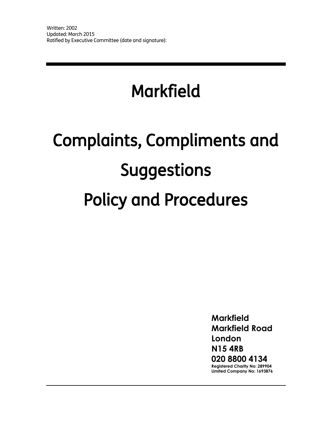# Markfield

# Complaints, Compliments and Suggestions Policy and Procedures

**Markfield Markfield Road London N15 4RB 020 8800 4134 Registered Charity No: 289904 Limited Company No: 1693876**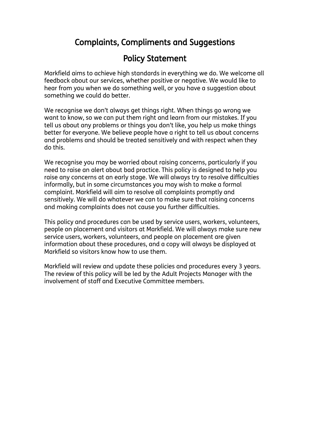# Complaints, Compliments and Suggestions

# Policy Statement

Markfield aims to achieve high standards in everything we do. We welcome all feedback about our services, whether positive or negative. We would like to hear from you when we do something well, or you have a suggestion about something we could do better.

We recognise we don't always get things right. When things go wrong we want to know, so we can put them right and learn from our mistakes. If you tell us about any problems or things you don't like, you help us make things better for everyone. We believe people have a right to tell us about concerns and problems and should be treated sensitively and with respect when they do this.

We recognise you may be worried about raising concerns, particularly if you need to raise an alert about bad practice. This policy is designed to help you raise any concerns at an early stage. We will always try to resolve difficulties informally, but in some circumstances you may wish to make a formal complaint. Markfield will aim to resolve all complaints promptly and sensitively. We will do whatever we can to make sure that raising concerns and making complaints does not cause you further difficulties.

This policy and procedures can be used by service users, workers, volunteers, people on placement and visitors at Markfield. We will always make sure new service users, workers, volunteers, and people on placement are given information about these procedures, and a copy will always be displayed at Markfield so visitors know how to use them.

Markfield will review and update these policies and procedures every 3 years. The review of this policy will be led by the Adult Projects Manager with the involvement of staff and Executive Committee members.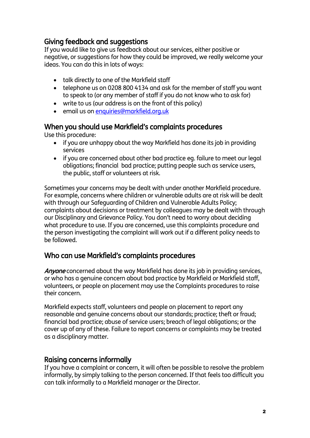# Giving feedback and suggestions

If you would like to give us feedback about our services, either positive or negative, or suggestions for how they could be improved, we really welcome your ideas. You can do this in lots of ways:

- talk directly to one of the Markfield staff
- telephone us on 0208 800 4134 and ask for the member of staff you want to speak to (or any member of staff if you do not know who to ask for)
- write to us (our address is on the front of this policy)
- **e** email us o[n enquiries@markfield.org.uk](mailto:enquiries@markfield.org.uk)

# When you should use Markfield's complaints procedures

Use this procedure:

- if you are unhappy about the way Markfield has done its job in providing services
- if you are concerned about other bad practice eg. failure to meet our legal obligations; financial bad practice; putting people such as service users, the public, staff or volunteers at risk.

Sometimes your concerns may be dealt with under another Markfield procedure. For example, concerns where children or vulnerable adults are at risk will be dealt with through our Safeguarding of Children and Vulnerable Adults Policy; complaints about decisions or treatment by colleagues may be dealt with through our Disciplinary and Grievance Policy. You don't need to worry about deciding what procedure to use. If you are concerned, use this complaints procedure and the person investigating the complaint will work out if a different policy needs to be followed.

# Who can use Markfield's complaints procedures

Anyone concerned about the way Markfield has done its job in providing services, or who has a genuine concern about bad practice by Markfield or Markfield staff, volunteers, or people on placement may use the Complaints procedures to raise their concern.

Markfield expects staff, volunteers and people on placement to report any reasonable and genuine concerns about our standards; practice; theft or fraud; financial bad practice; abuse of service users; breach of legal obligations; or the cover up of any of these. Failure to report concerns or complaints may be treated as a disciplinary matter.

## Raising concerns informally

If you have a complaint or concern, it will often be possible to resolve the problem informally, by simply talking to the person concerned. If that feels too difficult you can talk informally to a Markfield manager or the Director.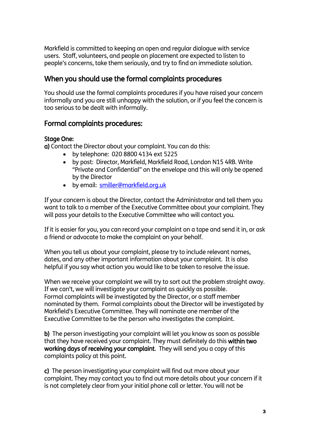Markfield is committed to keeping an open and regular dialogue with service users. Staff, volunteers, and people on placement are expected to listen to people's concerns, take them seriously, and try to find an immediate solution.

# When you should use the formal complaints procedures

You should use the formal complaints procedures if you have raised your concern informally and you are still unhappy with the solution, or if you feel the concern is too serious to be dealt with informally.

# Formal complaints procedures:

#### Stage One:

a) Contact the Director about your complaint. You can do this:

- by telephone: 020 8800 4134 ext 5225
- by post: Director, Markfield, Markfield Road, London N15 4RB. Write "Private and Confidential" on the envelope and this will only be opened by the Director
- by email: [smiller@markfield.org.uk](mailto:smiller@markfield.org.uk)

If your concern is about the Director, contact the Administrator and tell them you want to talk to a member of the Executive Committee about your complaint. They will pass your details to the Executive Committee who will contact you.

If it is easier for you, you can record your complaint on a tape and send it in, or ask a friend or advocate to make the complaint on your behalf.

When you tell us about your complaint, please try to include relevant names, dates, and any other important information about your complaint. It is also helpful if you say what action you would like to be taken to resolve the issue.

When we receive your complaint we will try to sort out the problem straight away. If we can't, we will investigate your complaint as quickly as possible. Formal complaints will be investigated by the Director, or a staff member nominated by them. Formal complaints about the Director will be investigated by Markfield's Executive Committee. They will nominate one member of the Executive Committee to be the person who investigates the complaint.

b) The person investigating your complaint will let you know as soon as possible that they have received your complaint. They must definitely do this within two working days of receiving your complaint. They will send you a copy of this complaints policy at this point.

c) The person investigating your complaint will find out more about your complaint. They may contact you to find out more details about your concern if it is not completely clear from your initial phone call or letter. You will not be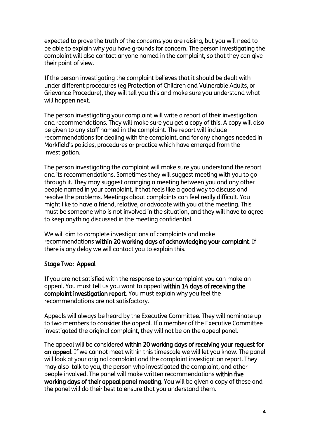expected to prove the truth of the concerns you are raising, but you will need to be able to explain why you have grounds for concern. The person investigating the complaint will also contact anyone named in the complaint, so that they can give their point of view.

If the person investigating the complaint believes that it should be dealt with under different procedures (eg Protection of Children and Vulnerable Adults, or Grievance Procedure), they will tell you this and make sure you understand what will happen next.

The person investigating your complaint will write a report of their investigation and recommendations. They will make sure you get a copy of this. A copy will also be given to any staff named in the complaint. The report will include recommendations for dealing with the complaint, and for any changes needed in Markfield's policies, procedures or practice which have emerged from the investigation.

The person investigating the complaint will make sure you understand the report and its recommendations. Sometimes they will suggest meeting with you to go through it. They may suggest arranging a meeting between you and any other people named in your complaint, if that feels like a good way to discuss and resolve the problems. Meetings about complaints can feel really difficult. You might like to have a friend, relative, or advocate with you at the meeting. This must be someone who is not involved in the situation, and they will have to agree to keep anything discussed in the meeting confidential.

We will aim to complete investigations of complaints and make recommendations within 20 working days of acknowledging your complaint. If there is any delay we will contact you to explain this.

#### Stage Two: Appeal

If you are not satisfied with the response to your complaint you can make an appeal. You must tell us you want to appeal within 14 days of receiving the complaint investigation report. You must explain why you feel the recommendations are not satisfactory.

Appeals will always be heard by the Executive Committee. They will nominate up to two members to consider the appeal. If a member of the Executive Committee investigated the original complaint, they will not be on the appeal panel.

The appeal will be considered within 20 working days of receiving your request for an appeal. If we cannot meet within this timescale we will let you know. The panel will look at your original complaint and the complaint investigation report. They may also talk to you, the person who investigated the complaint, and other people involved. The panel will make written recommendations within five working days of their appeal panel meeting. You will be given a copy of these and the panel will do their best to ensure that you understand them.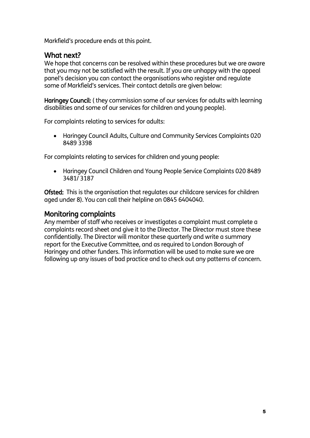Markfield's procedure ends at this point.

# What next?

We hope that concerns can be resolved within these procedures but we are aware that you may not be satisfied with the result. If you are unhappy with the appeal panel's decision you can contact the organisations who register and regulate some of Markfield's services. Their contact details are given below:

Haringey Council: ( they commission some of our services for adults with learning disabilities and some of our services for children and young people).

For complaints relating to services for adults:

 Haringey Council Adults, Culture and Community Services Complaints 020 8489 3398

For complaints relating to services for children and young people:

 Haringey Council Children and Young People Service Complaints 020 8489 3481/ 3187

Ofsted: This is the organisation that regulates our childcare services for children aged under 8). You can call their helpline on 0845 6404040.

## Monitoring complaints

Any member of staff who receives or investigates a complaint must complete a complaints record sheet and give it to the Director. The Director must store these confidentially. The Director will monitor these quarterly and write a summary report for the Executive Committee, and as required to London Borough of Haringey and other funders. This information will be used to make sure we are following up any issues of bad practice and to check out any patterns of concern.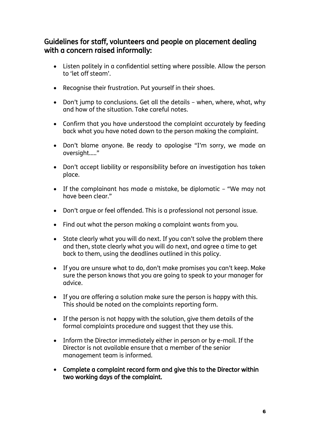# Guidelines for staff, volunteers and people on placement dealing with a concern raised informally:

- Listen politely in a confidential setting where possible. Allow the person to 'let off steam'.
- Recognise their frustration. Put yourself in their shoes.
- Don't jump to conclusions. Get all the details when, where, what, why and how of the situation. Take careful notes.
- Confirm that you have understood the complaint accurately by feeding back what you have noted down to the person making the complaint.
- Don't blame anyone. Be ready to apologise "I'm sorry, we made an oversight….."
- Don't accept liability or responsibility before an investigation has taken place.
- If the complainant has made a mistake, be diplomatic "We may not have been clear."
- Don't argue or feel offended. This is a professional not personal issue.
- Find out what the person making a complaint wants from you.
- State clearly what you will do next. If you can't solve the problem there and then, state clearly what you will do next, and agree a time to get back to them, using the deadlines outlined in this policy.
- If you are unsure what to do, don't make promises you can't keep. Make sure the person knows that you are going to speak to your manager for advice.
- If you are offering a solution make sure the person is happy with this. This should be noted on the complaints reporting form.
- If the person is not happy with the solution, give them details of the formal complaints procedure and suggest that they use this.
- Inform the Director immediately either in person or by e-mail. If the Director is not available ensure that a member of the senior management team is informed.
- Complete a complaint record form and give this to the Director within two working days of the complaint.